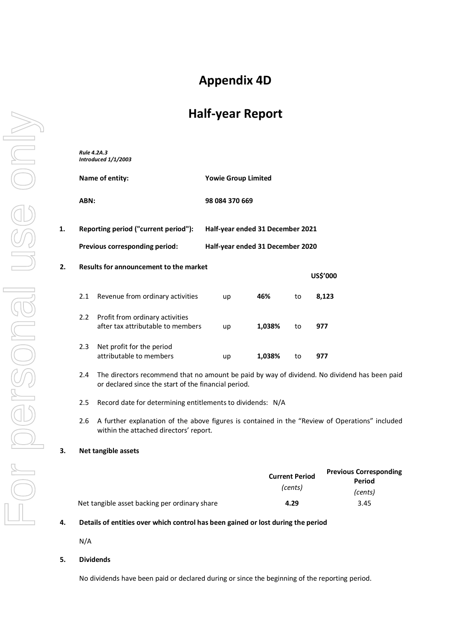# **Appendix 4D**

# **Half-year Report**

|    | Rule 4.2A.3     | Introduced 1/1/2003                                                                                                                                  |                                  |        |                                  |                                                |
|----|-----------------|------------------------------------------------------------------------------------------------------------------------------------------------------|----------------------------------|--------|----------------------------------|------------------------------------------------|
|    | Name of entity: |                                                                                                                                                      | <b>Yowie Group Limited</b>       |        |                                  |                                                |
|    | ABN:            |                                                                                                                                                      | 98 084 370 669                   |        |                                  |                                                |
| 1. |                 | Reporting period ("current period"):                                                                                                                 | Half-year ended 31 December 2021 |        |                                  |                                                |
|    |                 | Previous corresponding period:                                                                                                                       | Half-year ended 31 December 2020 |        |                                  |                                                |
| 2. |                 | Results for announcement to the market                                                                                                               |                                  |        |                                  | US\$'000                                       |
|    | 2.1             | Revenue from ordinary activities                                                                                                                     | up                               | 46%    | to                               | 8,123                                          |
|    | 2.2             | Profit from ordinary activities<br>after tax attributable to members                                                                                 | up                               | 1,038% | to                               | 977                                            |
|    | 2.3             | Net profit for the period<br>attributable to members                                                                                                 | up                               | 1,038% | to                               | 977                                            |
|    | 2.4             | The directors recommend that no amount be paid by way of dividend. No dividend has been paid<br>or declared since the start of the financial period. |                                  |        |                                  |                                                |
|    | 2.5             | Record date for determining entitlements to dividends: N/A                                                                                           |                                  |        |                                  |                                                |
|    | 2.6             | A further explanation of the above figures is contained in the "Review of Operations" included<br>within the attached directors' report.             |                                  |        |                                  |                                                |
| 3. |                 | Net tangible assets                                                                                                                                  |                                  |        |                                  |                                                |
|    |                 |                                                                                                                                                      |                                  |        | <b>Current Period</b><br>(cents) | <b>Previous Corresponding</b><br><b>Period</b> |
|    |                 | Net tangible asset backing per ordinary share                                                                                                        |                                  |        | 4.29                             | (cents)<br>3.45                                |
| 4. |                 | Details of entities over which control has been gained or lost during the period                                                                     |                                  |        |                                  |                                                |

N/A

#### **5. Dividends**

No dividends have been paid or declared during or since the beginning of the reporting period.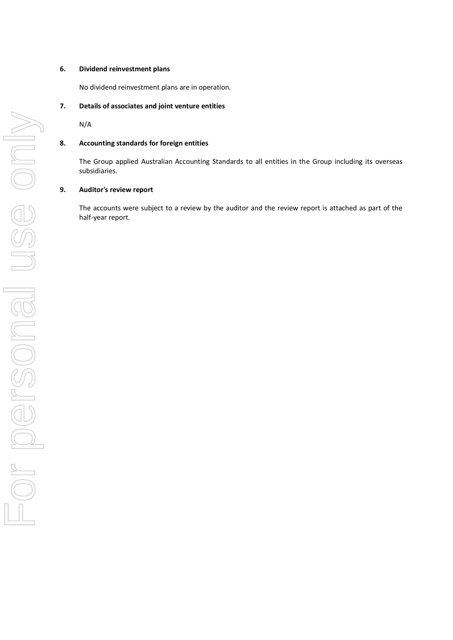#### **6. Dividend reinvestment plans**

No dividend reinvestment plans are in operation.

#### **7. Details of associates and joint venture entities**

N/A

#### **8. Accounting standards for foreign entities**

The Group applied Australian Accounting Standards to all entities in the Group including its overseas subsidiaries.

#### **9. Auditor's review report**

The accounts were subject to a review by the auditor and the review report is attached as part of the half-year report.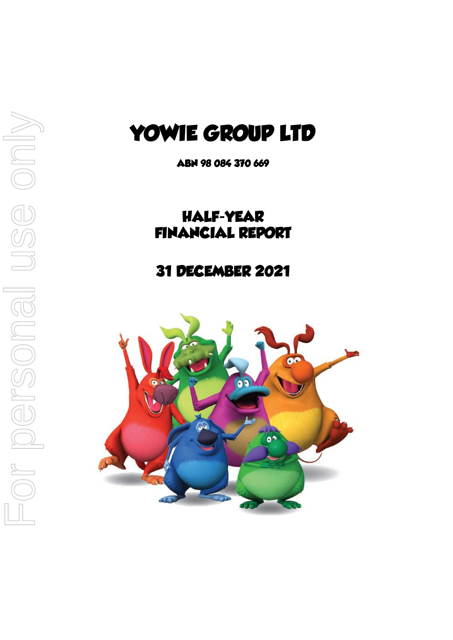# **YOWIE GROUP LTD**

**ABN 98 084 370 669**

# **HALF-YEAR FINANCIAL REPORT**

# **31 DECEMBER 2021**

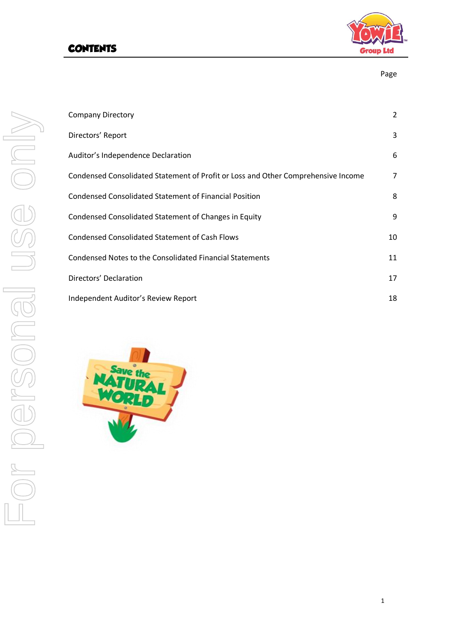# **CONTENTS**



| ٩<br><br>×<br>۰.<br>×<br>۰. |
|-----------------------------|
|-----------------------------|

| <b>Company Directory</b>                                                          | $\overline{2}$ |
|-----------------------------------------------------------------------------------|----------------|
| Directors' Report                                                                 | 3              |
| Auditor's Independence Declaration                                                | 6              |
| Condensed Consolidated Statement of Profit or Loss and Other Comprehensive Income | $\overline{7}$ |
| Condensed Consolidated Statement of Financial Position                            | 8              |
| Condensed Consolidated Statement of Changes in Equity                             | 9              |
| <b>Condensed Consolidated Statement of Cash Flows</b>                             | 10             |
| Condensed Notes to the Consolidated Financial Statements                          | 11             |
| Directors' Declaration                                                            | 17             |
| Independent Auditor's Review Report                                               | 18             |

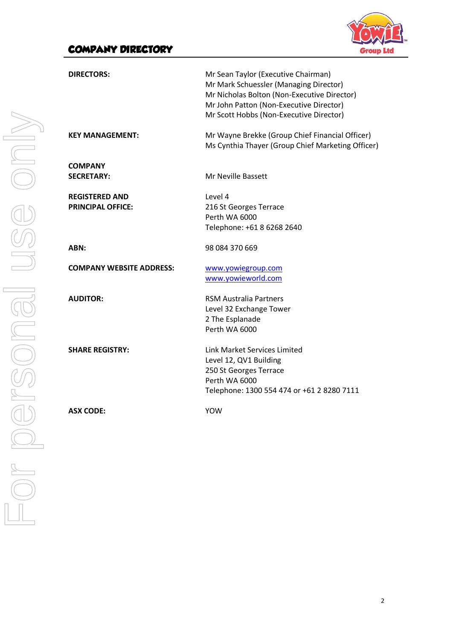## **COMPANY DIRECTORY**



| <b>DIRECTORS:</b>                                 | Mr Sean Taylor (Executive Chairman)<br>Mr Mark Schuessler (Managing Director)<br>Mr Nicholas Bolton (Non-Executive Director)<br>Mr John Patton (Non-Executive Director)<br>Mr Scott Hobbs (Non-Executive Director) |
|---------------------------------------------------|--------------------------------------------------------------------------------------------------------------------------------------------------------------------------------------------------------------------|
| <b>KEY MANAGEMENT:</b>                            | Mr Wayne Brekke (Group Chief Financial Officer)<br>Ms Cynthia Thayer (Group Chief Marketing Officer)                                                                                                               |
| <b>COMPANY</b><br><b>SECRETARY:</b>               | Mr Neville Bassett                                                                                                                                                                                                 |
| <b>REGISTERED AND</b><br><b>PRINCIPAL OFFICE:</b> | Level 4<br>216 St Georges Terrace<br>Perth WA 6000<br>Telephone: +61 8 6268 2640                                                                                                                                   |
| ABN:                                              | 98 084 370 669                                                                                                                                                                                                     |
| <b>COMPANY WEBSITE ADDRESS:</b>                   | www.yowiegroup.com<br>www.yowieworld.com                                                                                                                                                                           |
| <b>AUDITOR:</b>                                   | <b>RSM Australia Partners</b><br>Level 32 Exchange Tower<br>2 The Esplanade<br>Perth WA 6000                                                                                                                       |
| <b>SHARE REGISTRY:</b>                            | Link Market Services Limited<br>Level 12, QV1 Building<br>250 St Georges Terrace<br>Perth WA 6000<br>Telephone: 1300 554 474 or +61 2 8280 7111                                                                    |
| <b>ASX CODE:</b>                                  | <b>YOW</b>                                                                                                                                                                                                         |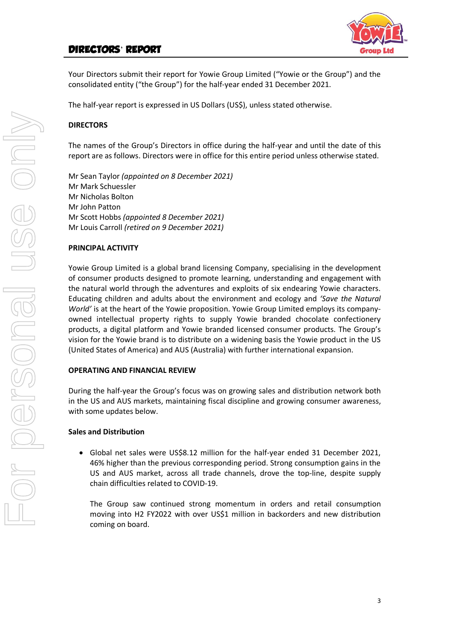### **DIRECTORS**' **REPORT**



Your Directors submit their report for Yowie Group Limited ("Yowie or the Group") and the consolidated entity ("the Group") for the half-year ended 31 December 2021.

The half-year report is expressed in US Dollars (US\$), unless stated otherwise.

#### **DIRECTORS**

The names of the Group's Directors in office during the half-year and until the date of this report are as follows. Directors were in office for this entire period unless otherwise stated.

Mr Sean Taylor *(appointed on 8 December 2021)* Mr Mark Schuessler Mr Nicholas Bolton Mr John Patton Mr Scott Hobbs *(appointed 8 December 2021)* Mr Louis Carroll *(retired on 9 December 2021)*

#### **PRINCIPAL ACTIVITY**

Yowie Group Limited is a global brand licensing Company, specialising in the development of consumer products designed to promote learning, understanding and engagement with the natural world through the adventures and exploits of six endearing Yowie characters. Educating children and adults about the environment and ecology and *'Save the Natural World'* is at the heart of the Yowie proposition. Yowie Group Limited employs its companyowned intellectual property rights to supply Yowie branded chocolate confectionery products, a digital platform and Yowie branded licensed consumer products. The Group's vision for the Yowie brand is to distribute on a widening basis the Yowie product in the US (United States of America) and AUS (Australia) with further international expansion.

#### **OPERATING AND FINANCIAL REVIEW**

During the half-year the Group's focus was on growing sales and distribution network both in the US and AUS markets, maintaining fiscal discipline and growing consumer awareness, with some updates below.

#### **Sales and Distribution**

• Global net sales were US\$8.12 million for the half-year ended 31 December 2021, 46% higher than the previous corresponding period. Strong consumption gains in the US and AUS market, across all trade channels, drove the top-line, despite supply chain difficulties related to COVID-19.

The Group saw continued strong momentum in orders and retail consumption moving into H2 FY2022 with over US\$1 million in backorders and new distribution coming on board.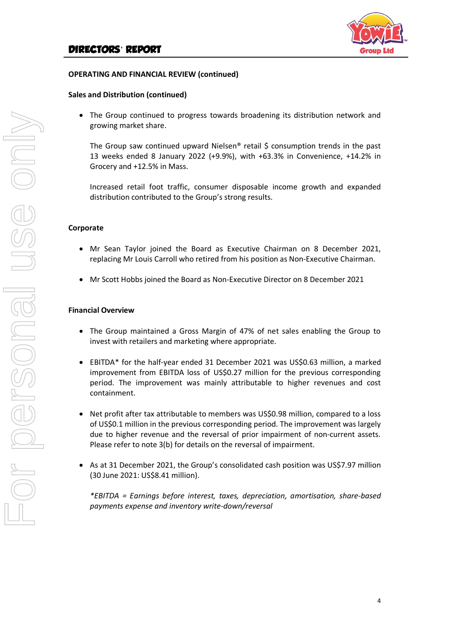

#### **OPERATING AND FINANCIAL REVIEW (continued)**

#### **Sales and Distribution (continued)**

• The Group continued to progress towards broadening its distribution network and growing market share.

The Group saw continued upward Nielsen<sup>®</sup> retail \$ consumption trends in the past 13 weeks ended 8 January 2022 (+9.9%), with +63.3% in Convenience, +14.2% in Grocery and +12.5% in Mass.

Increased retail foot traffic, consumer disposable income growth and expanded distribution contributed to the Group's strong results.

#### **Corporate**

- Mr Sean Taylor joined the Board as Executive Chairman on 8 December 2021, replacing Mr Louis Carroll who retired from his position as Non-Executive Chairman.
- Mr Scott Hobbs joined the Board as Non-Executive Director on 8 December 2021

#### **Financial Overview**

- The Group maintained a Gross Margin of 47% of net sales enabling the Group to invest with retailers and marketing where appropriate.
- EBITDA\* for the half-year ended 31 December 2021 was US\$0.63 million, a marked improvement from EBITDA loss of US\$0.27 million for the previous corresponding period. The improvement was mainly attributable to higher revenues and cost containment.
- Net profit after tax attributable to members was US\$0.98 million, compared to a loss of US\$0.1 million in the previous corresponding period. The improvement was largely due to higher revenue and the reversal of prior impairment of non-current assets. Please refer to note 3(b) for details on the reversal of impairment.
- As at 31 December 2021, the Group's consolidated cash position was US\$7.97 million (30 June 2021: US\$8.41 million).

*\*EBITDA = Earnings before interest, taxes, depreciation, amortisation, share-based payments expense and inventory write-down/reversal*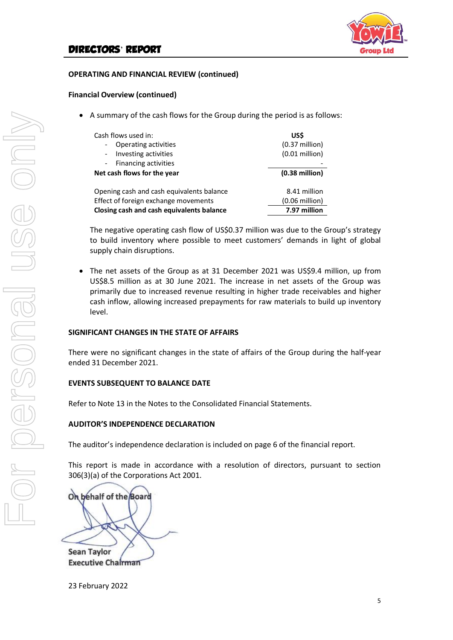

#### **OPERATING AND FINANCIAL REVIEW (continued)**

#### **Financial Overview (continued)**

• A summary of the cash flows for the Group during the period is as follows:

| Cash flows used in:                              | US\$                     |
|--------------------------------------------------|--------------------------|
| Operating activities<br>-                        | $(0.37$ million)         |
| Investing activities<br>$\overline{\phantom{a}}$ | $(0.01$ million)         |
| Financing activities<br>$\sim$                   |                          |
| Net cash flows for the year                      | $(0.38$ million)         |
| Opening cash and cash equivalents balance        | 8.41 million             |
| Effect of foreign exchange movements             | $(0.06 \text{ million})$ |
| Closing cash and cash equivalents balance        | 7.97 million             |

The negative operating cash flow of US\$0.37 million was due to the Group's strategy to build inventory where possible to meet customers' demands in light of global supply chain disruptions.

The net assets of the Group as at 31 December 2021 was US\$9.4 million, up from US\$8.5 million as at 30 June 2021. The increase in net assets of the Group was primarily due to increased revenue resulting in higher trade receivables and higher cash inflow, allowing increased prepayments for raw materials to build up inventory level.

#### **SIGNIFICANT CHANGES IN THE STATE OF AFFAIRS**

There were no significant changes in the state of affairs of the Group during the half-year ended 31 December 2021.

#### **EVENTS SUBSEQUENT TO BALANCE DATE**

Refer to Note 13 in the Notes to the Consolidated Financial Statements.

#### **AUDITOR'S INDEPENDENCE DECLARATION**

The auditor's independence declaration is included on page 6 of the financial report.

This report is made in accordance with a resolution of directors, pursuant to section 306(3)(a) of the Corporations Act 2001.

On behalf of the Board **Sean Taylor** 

**Executive Chairman** 

23 February 2022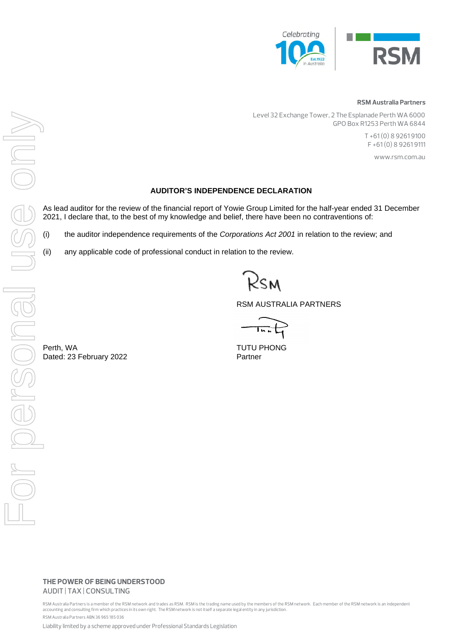

#### **RSM Australia Partners**

 Level 32 Exchange Tower, 2 The Esplanade Perth WA 6000 GPO Box R1253 Perth WA 6844

> T +61 (0) 8 9261 9100 F +61 (0) 8 9261 9111

> > www.rsm.com.au

#### **AUDITOR'S INDEPENDENCE DECLARATION**

As lead auditor for the review of the financial report of Yowie Group Limited for the half-year ended 31 December 2021, I declare that, to the best of my knowledge and belief, there have been no contraventions of:

(i) the auditor independence requirements of the *Corporations Act 2001* in relation to the review; and

(ii) any applicable code of professional conduct in relation to the review.

RSM AUSTRALIA PARTNERS

RSM AUSTRA<br>
Perth, WA<br>
Dated: 23 February 2022<br>
Perth, WA<br>
Dated: 23 February 2022<br>
Partner<br>
Partner<br>
Partner<br>
Partner<br>
Partner<br>
Partner<br>
Partner<br>
Partner<br>
Partner<br>
Partner<br>
Partner<br>
Partner<br>
Partner<br>
Partner<br>
Partner<br>
Par ADIDTOR'S INDEPENDENCE D<br>
ADIDTOR'S INDEPENDENCE D<br>
2021, I declare that, to the best of my knowledge and belief, there<br>
(ii) the auditor independence requirements of the *Corporalions*<br>
(ii) any applicable code of profess

> **THE POWER OF BEING UNDERSTOOD** AUDIT | TAX | CONSULTING

RSM Australia Partners is a member of the RSM network and trades as RSM. RSM is the trading name used by the members of the RSM network. Each member of the RSM network is an independent accounting and consulting firm which practices in its own right. The RSM network is not itself a separate legal entity in any jurisdiction. RSM Australia Partners ABN 36 965 185 036

Liability limited by a scheme approved under Professional Standards Legislation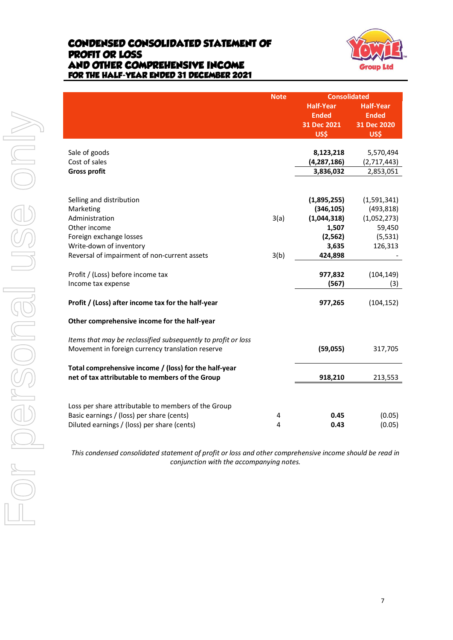### **CONDENSED CONSOLIDATED STATEMENT OF PROFIT OR LOSS AND OTHER COMPREHENSIVE INCOME FOR THE HALF-YEAR ENDED 31 DECEMBER 2021**



| Sale of goods<br>Cost of sales<br><b>Gross profit</b>                                                                                                             |
|-------------------------------------------------------------------------------------------------------------------------------------------------------------------|
| Selling and distribution<br>Marketing<br>Administration<br>Other income<br>Foreign exchange losses<br>Write-down of inventory<br>Reversal of impairment of non-cu |
| Profit / (Loss) before income tax<br>Income tax expense                                                                                                           |
| Profit / (Loss) after income tax fo                                                                                                                               |
| Other comprehensive income for                                                                                                                                    |
| Items that may be reclassified sub<br>Movement in foreign currency tra                                                                                            |
| Total comprehensive income / (Io<br>net of tax attributable to membe                                                                                              |
| Loss per share attributable to me<br>Basic earnings / (loss) per share (d<br>Diluted earnings / (loss) per share                                                  |
| This condensed consolidated sta                                                                                                                                   |
|                                                                                                                                                                   |
|                                                                                                                                                                   |

|                                                                                                                                                 | <b>Note</b> | <b>Consolidated</b> |                  |
|-------------------------------------------------------------------------------------------------------------------------------------------------|-------------|---------------------|------------------|
|                                                                                                                                                 |             | <b>Half-Year</b>    | <b>Half-Year</b> |
|                                                                                                                                                 |             | <b>Ended</b>        | <b>Ended</b>     |
|                                                                                                                                                 |             | 31 Dec 2021         | 31 Dec 2020      |
|                                                                                                                                                 |             | US\$                | US\$             |
|                                                                                                                                                 |             |                     |                  |
| Sale of goods                                                                                                                                   |             | 8,123,218           | 5,570,494        |
| Cost of sales                                                                                                                                   |             | (4, 287, 186)       | (2,717,443)      |
| <b>Gross profit</b>                                                                                                                             |             | 3,836,032           | 2,853,051        |
| Selling and distribution                                                                                                                        |             | (1,895,255)         | (1,591,341)      |
| Marketing                                                                                                                                       |             | (346, 105)          | (493, 818)       |
| Administration                                                                                                                                  | 3(a)        | (1,044,318)         | (1,052,273)      |
| Other income                                                                                                                                    |             | 1,507               | 59,450           |
| Foreign exchange losses                                                                                                                         |             | (2, 562)            | (5, 531)         |
| Write-down of inventory                                                                                                                         |             | 3,635               | 126,313          |
| Reversal of impairment of non-current assets                                                                                                    | 3(b)        | 424,898             |                  |
| Profit / (Loss) before income tax                                                                                                               |             | 977,832             | (104, 149)       |
| Income tax expense                                                                                                                              |             | (567)               | (3)              |
| Profit / (Loss) after income tax for the half-year                                                                                              |             | 977,265             | (104, 152)       |
| Other comprehensive income for the half-year                                                                                                    |             |                     |                  |
| Items that may be reclassified subsequently to profit or loss<br>Movement in foreign currency translation reserve                               |             | (59,055)            | 317,705          |
| Total comprehensive income / (loss) for the half-year<br>net of tax attributable to members of the Group                                        |             | 918,210             | 213,553          |
| Loss per share attributable to members of the Group<br>Basic earnings / (loss) per share (cents)<br>Diluted earnings / (loss) per share (cents) | 4<br>4      | 0.45<br>0.43        | (0.05)<br>(0.05) |
|                                                                                                                                                 |             |                     |                  |

*This condensed consolidated statement of profit or loss and other comprehensive income should be read in conjunction with the accompanying notes.*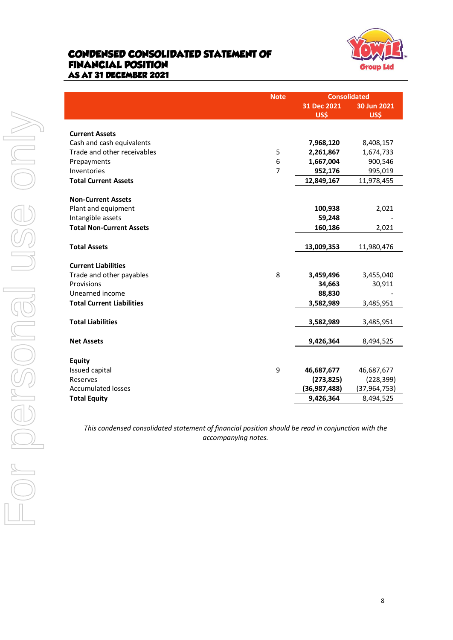### **CONDENSED CONSOLIDATED STATEMENT OF FINANCIAL POSITION AS AT 31 DECEMBER 2021**



| <b>Current Assets</b>                            |
|--------------------------------------------------|
| Cash and cash equ                                |
| Trade and other re                               |
| Prepayments                                      |
| Inventories                                      |
| <b>Total Current Asse</b>                        |
|                                                  |
| <b>Non-Current Asset</b><br>Plant and equipme    |
| Intangible assets                                |
| <b>Total Non-Current</b>                         |
|                                                  |
| <b>Total Assets</b>                              |
|                                                  |
| <b>Current Liabilities</b><br>Trade and other pa |
| Provisions                                       |
| Unearned income                                  |
| <b>Total Current Liabi</b>                       |
|                                                  |
| <b>Total Liabilities</b>                         |
| <b>Net Assets</b>                                |
|                                                  |
| <b>Equity</b>                                    |
| Issued capital                                   |
| Reserves                                         |
| <b>Accumulated losse</b><br><b>Total Equity</b>  |
|                                                  |
|                                                  |
| This condense                                    |
|                                                  |
|                                                  |
|                                                  |
|                                                  |
|                                                  |
|                                                  |
|                                                  |
|                                                  |
|                                                  |

Note **Consolidated**<br>**31 Dec 2021** 30 Jun 2021 **31 Dec 2021 30 Jun 2021 US\$ US\$** Cash and cash equivalents **7,968,120** 8,408,157 Trade and other receivables 5 **2,261,867** 1,674,733 Prepayments 6 **1,667,004** 900,546 Inventories 7 **952,176** 995,019 **Total Current Assets 12,849,167** 11,978,455 **Non-Current Assets** Plant and equipment **100,938** 2,021 Intangible assets **59,248** - **Total Non-Current Assets 160,186** 2,021 **Total Assets 13,009,353** 11,980,476 Trade and other payables 8 **3,459,496** 3,455,040 Provisions **34,663** 30,911 Unearned income **88,830** - **Total Current Liabilities 3,582,989** 3,485,951 **Total Liabilities 3,582,989** 3,485,951 **Net Assets 9,426,364** 8,494,525 Issued capital 9 **46,687,677** 46,687,677 Reserves **(273,825)** (228,399) Accumulated losses **(36,987,488)** (37,964,753) **Total Equity 9,426,364** 8,494,525

*This condensed consolidated statement of financial position should be read in conjunction with the accompanying notes.*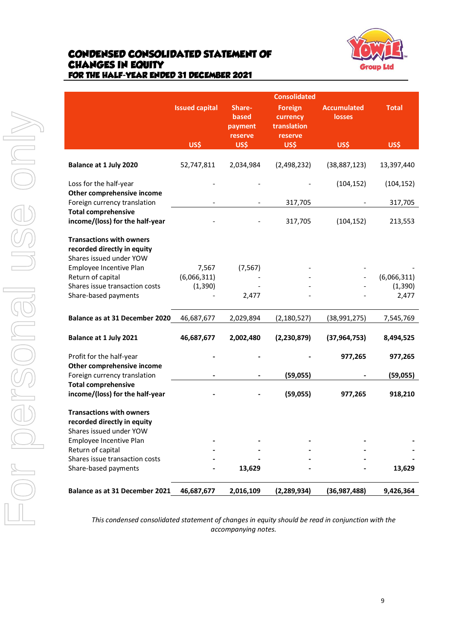### **CONDENSED CONSOLIDATED STATEMENT OF CHANGES IN EQUITY FOR THE HALF-YEAR ENDED 31 DECEMBER 2021**



|                                                                                           |                       |                                       | <b>Consolidated</b>                                  |                                     |                   |
|-------------------------------------------------------------------------------------------|-----------------------|---------------------------------------|------------------------------------------------------|-------------------------------------|-------------------|
|                                                                                           | <b>Issued capital</b> | Share-<br>based<br>payment<br>reserve | <b>Foreign</b><br>currency<br>translation<br>reserve | <b>Accumulated</b><br><b>losses</b> | <b>Total</b>      |
|                                                                                           | US\$                  | US\$                                  | US\$                                                 | US\$                                | US\$              |
| Balance at 1 July 2020                                                                    | 52,747,811            | 2,034,984                             | (2,498,232)                                          | (38, 887, 123)                      | 13,397,440        |
| Loss for the half-year<br>Other comprehensive income                                      |                       |                                       |                                                      | (104, 152)                          | (104, 152)        |
| Foreign currency translation                                                              |                       |                                       | 317,705                                              |                                     | 317,705           |
| <b>Total comprehensive</b><br>income/(loss) for the half-year                             |                       |                                       | 317,705                                              | (104, 152)                          | 213,553           |
| <b>Transactions with owners</b><br>recorded directly in equity<br>Shares issued under YOW |                       |                                       |                                                      |                                     |                   |
| Employee Incentive Plan                                                                   | 7,567                 | (7, 567)                              |                                                      |                                     |                   |
| Return of capital<br>Shares issue transaction costs                                       | (6,066,311)           |                                       |                                                      |                                     | (6,066,311)       |
| Share-based payments                                                                      | (1, 390)              | 2,477                                 |                                                      |                                     | (1, 390)<br>2,477 |
| Balance as at 31 December 2020                                                            | 46,687,677            | 2,029,894                             | (2, 180, 527)                                        | (38, 991, 275)                      | 7,545,769         |
| Balance at 1 July 2021                                                                    | 46,687,677            | 2,002,480                             | (2, 230, 879)                                        | (37, 964, 753)                      | 8,494,525         |
| Profit for the half-year<br>Other comprehensive income                                    |                       |                                       |                                                      | 977,265                             | 977,265           |
| Foreign currency translation                                                              |                       |                                       | (59, 055)                                            |                                     | (59,055)          |
| <b>Total comprehensive</b><br>income/(loss) for the half-year                             |                       |                                       | (59,055)                                             | 977,265                             | 918,210           |
| <b>Transactions with owners</b><br>recorded directly in equity<br>Shares issued under YOW |                       |                                       |                                                      |                                     |                   |
| Employee Incentive Plan                                                                   |                       |                                       |                                                      |                                     |                   |
| Return of capital                                                                         |                       |                                       |                                                      |                                     |                   |
| Shares issue transaction costs<br>Share-based payments                                    |                       | 13,629                                |                                                      |                                     | 13,629            |
| Balance as at 31 December 2021                                                            | 46,687,677            | 2,016,109                             | (2, 289, 934)                                        | (36, 987, 488)                      | 9,426,364         |

*This condensed consolidated statement of changes in equity should be read in conjunction with the accompanying notes.*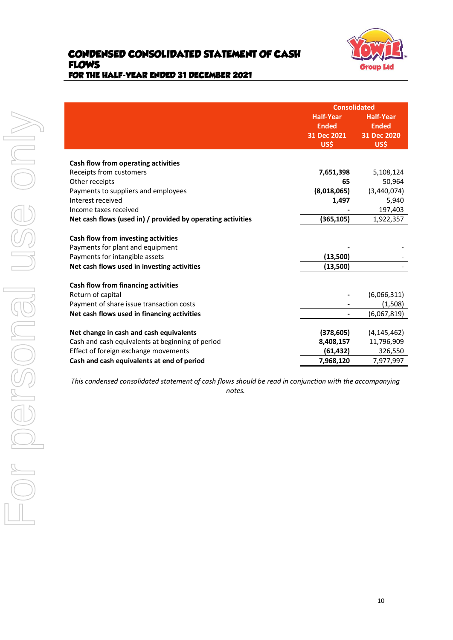

|                                                             | <b>Consolidated</b> |                  |  |
|-------------------------------------------------------------|---------------------|------------------|--|
|                                                             | <b>Half-Year</b>    | <b>Half-Year</b> |  |
|                                                             | <b>Ended</b>        | <b>Ended</b>     |  |
|                                                             | 31 Dec 2021         | 31 Dec 2020      |  |
|                                                             | US\$                | US\$             |  |
|                                                             |                     |                  |  |
| Cash flow from operating activities                         |                     |                  |  |
| Receipts from customers                                     | 7,651,398           | 5,108,124        |  |
| Other receipts                                              | 65                  | 50,964           |  |
| Payments to suppliers and employees                         | (8,018,065)         | (3,440,074)      |  |
| Interest received                                           | 1,497               | 5,940            |  |
| Income taxes received                                       |                     | 197,403          |  |
| Net cash flows (used in) / provided by operating activities | (365, 105)          | 1,922,357        |  |
| Cash flow from investing activities                         |                     |                  |  |
| Payments for plant and equipment                            |                     |                  |  |
| Payments for intangible assets                              | (13,500)            |                  |  |
| Net cash flows used in investing activities                 | (13,500)            |                  |  |
|                                                             |                     |                  |  |
| Cash flow from financing activities                         |                     |                  |  |
| Return of capital                                           |                     | (6,066,311)      |  |
| Payment of share issue transaction costs                    |                     | (1,508)          |  |
| Net cash flows used in financing activities                 |                     | (6,067,819)      |  |
| Net change in cash and cash equivalents                     | (378, 605)          | (4, 145, 462)    |  |
| Cash and cash equivalents at beginning of period            | 8,408,157           | 11,796,909       |  |
| Effect of foreign exchange movements                        | (61, 432)           | 326,550          |  |
| Cash and cash equivalents at end of period                  | 7,968,120           | 7,977,997        |  |
|                                                             |                     |                  |  |

*This condensed consolidated statement of cash flows should be read in conjunction with the accompanying notes.*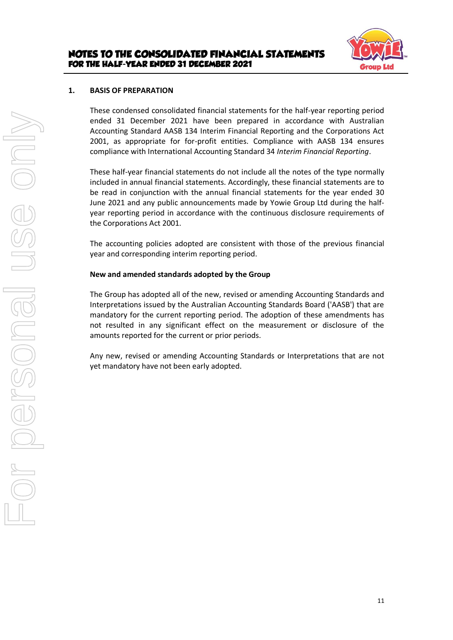

#### **1. BASIS OF PREPARATION**

These condensed consolidated financial statements for the half-year reporting period ended 31 December 2021 have been prepared in accordance with Australian Accounting Standard AASB 134 Interim Financial Reporting and the Corporations Act 2001, as appropriate for for-profit entities. Compliance with AASB 134 ensures compliance with International Accounting Standard 34 *Interim Financial Reporting*.

These half-year financial statements do not include all the notes of the type normally included in annual financial statements. Accordingly, these financial statements are to be read in conjunction with the annual financial statements for the year ended 30 June 2021 and any public announcements made by Yowie Group Ltd during the halfyear reporting period in accordance with the continuous disclosure requirements of the Corporations Act 2001.

The accounting policies adopted are consistent with those of the previous financial year and corresponding interim reporting period.

#### **New and amended standards adopted by the Group**

The Group has adopted all of the new, revised or amending Accounting Standards and Interpretations issued by the Australian Accounting Standards Board ('AASB') that are mandatory for the current reporting period. The adoption of these amendments has not resulted in any significant effect on the measurement or disclosure of the amounts reported for the current or prior periods.

Any new, revised or amending Accounting Standards or Interpretations that are not yet mandatory have not been early adopted.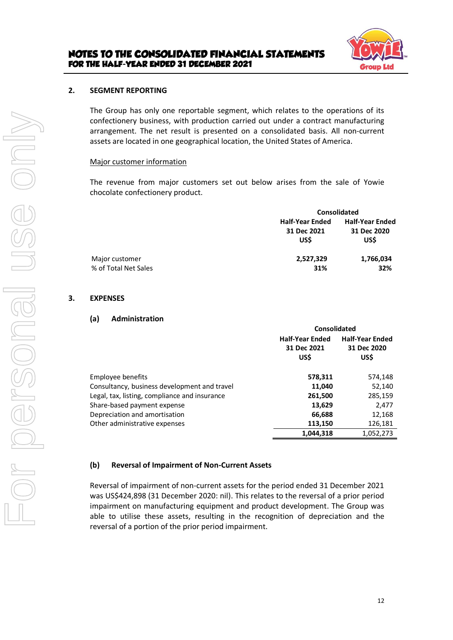

#### **2. SEGMENT REPORTING**

The Group has only one reportable segment, which relates to the operations of its confectionery business, with production carried out under a contract manufacturing arrangement. The net result is presented on a consolidated basis. All non-current assets are located in one geographical location, the United States of America.

#### Major customer information

The revenue from major customers set out below arises from the sale of Yowie chocolate confectionery product.

| <b>Consolidated</b>    |                        |  |
|------------------------|------------------------|--|
| <b>Half-Year Ended</b> | <b>Half-Year Ended</b> |  |
| 31 Dec 2021            | 31 Dec 2020            |  |
| <b>USS</b>             | US\$                   |  |
| 2,527,329              | 1,766,034              |  |
| 31%                    | 32%                    |  |
|                        |                        |  |

#### **3. EXPENSES**

#### **(a) Administration**

|                                               | Consolidated           |                        |  |
|-----------------------------------------------|------------------------|------------------------|--|
|                                               | <b>Half-Year Ended</b> | <b>Half-Year Ended</b> |  |
|                                               | 31 Dec 2021<br>US\$    | 31 Dec 2020<br>US\$    |  |
| Employee benefits                             | 578,311                | 574,148                |  |
| Consultancy, business development and travel  | 11,040                 | 52,140                 |  |
| Legal, tax, listing, compliance and insurance | 261,500                | 285,159                |  |
| Share-based payment expense                   | 13,629                 | 2,477                  |  |
| Depreciation and amortisation                 | 66,688                 | 12,168                 |  |
| Other administrative expenses                 | 113,150                | 126,181                |  |
|                                               | 1,044,318              | 1,052,273              |  |

#### **(b) Reversal of Impairment of Non-Current Assets**

Reversal of impairment of non-current assets for the period ended 31 December 2021 was US\$424,898 (31 December 2020: nil). This relates to the reversal of a prior period impairment on manufacturing equipment and product development. The Group was able to utilise these assets, resulting in the recognition of depreciation and the reversal of a portion of the prior period impairment.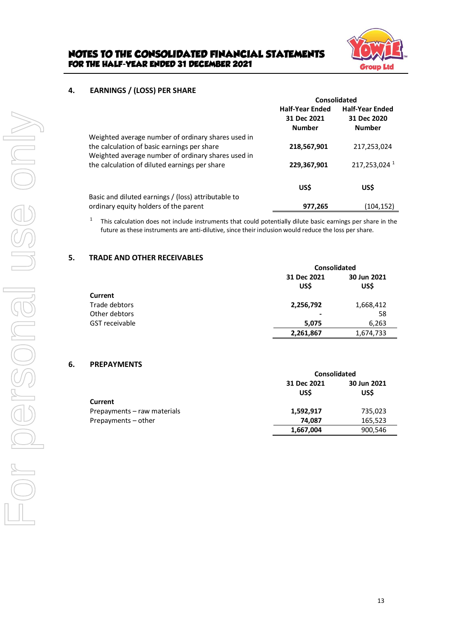

#### **4. EARNINGS / (LOSS) PER SHARE**

|                                                                                                                                                         | Consolidated                                           |                                                        |
|---------------------------------------------------------------------------------------------------------------------------------------------------------|--------------------------------------------------------|--------------------------------------------------------|
|                                                                                                                                                         | <b>Half-Year Ended</b><br>31 Dec 2021<br><b>Number</b> | <b>Half-Year Ended</b><br>31 Dec 2020<br><b>Number</b> |
| Weighted average number of ordinary shares used in<br>the calculation of basic earnings per share<br>Weighted average number of ordinary shares used in | 218,567,901                                            | 217,253,024                                            |
| the calculation of diluted earnings per share                                                                                                           | 229,367,901                                            | 217,253,024 1                                          |
|                                                                                                                                                         | US\$                                                   | US\$                                                   |
| Basic and diluted earnings / (loss) attributable to                                                                                                     |                                                        |                                                        |
| ordinary equity holders of the parent                                                                                                                   | 977.265                                                | (104.152)                                              |

1 This calculation does not include instruments that could potentially dilute basic earnings per share in the future as these instruments are anti-dilutive, since their inclusion would reduce the loss per share.

#### **5. TRADE AND OTHER RECEIVABLES**

|                       | <b>Consolidated</b> |                     |
|-----------------------|---------------------|---------------------|
|                       | 31 Dec 2021<br>US\$ | 30 Jun 2021<br>US\$ |
| <b>Current</b>        |                     |                     |
| Trade debtors         | 2,256,792           | 1,668,412           |
| Other debtors         | -                   | 58                  |
| <b>GST</b> receivable | 5,075               | 6,263               |
|                       | 2,261,867           | 1,674,733           |

#### **6. PREPAYMENTS**

|                             | <b>Consolidated</b>       |                     |
|-----------------------------|---------------------------|---------------------|
|                             | 31 Dec 2021<br><b>USS</b> | 30 Jun 2021<br>US\$ |
| <b>Current</b>              |                           |                     |
| Prepayments – raw materials | 1,592,917                 | 735,023             |
| Prepayments - other         | 74.087                    | 165,523             |
|                             | 1,667,004                 | 900,546             |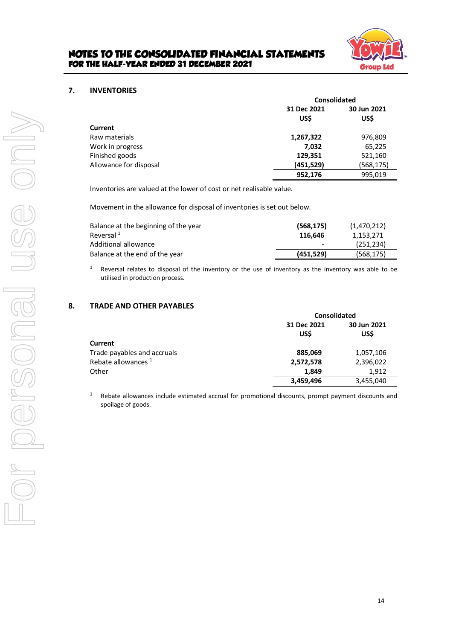

#### **7. INVENTORIES**

|                        | <b>Consolidated</b> |                     |
|------------------------|---------------------|---------------------|
|                        | 31 Dec 2021<br>US\$ | 30 Jun 2021<br>US\$ |
| Current                |                     |                     |
| Raw materials          | 1,267,322           | 976,809             |
| Work in progress       | 7,032               | 65,225              |
| Finished goods         | 129,351             | 521,160             |
| Allowance for disposal | (451, 529)          | (568,175)           |
|                        | 952,176             | 995,019             |

Inventories are valued at the lower of cost or net realisable value.

Movement in the allowance for disposal of inventories is set out below.

| Balance at the beginning of the year | (568, 175) | (1,470,212) |
|--------------------------------------|------------|-------------|
| Reversal <sup>1</sup>                | 116.646    | 1.153.271   |
| Additional allowance                 | ٠          | (251.234)   |
| Balance at the end of the year       | (451, 529) | (568, 175)  |

 $1$  Reversal relates to disposal of the inventory or the use of inventory as the inventory was able to be utilised in production process.

#### **8. TRADE AND OTHER PAYABLES**

|                                | <b>Consolidated</b> |                     |
|--------------------------------|---------------------|---------------------|
|                                | 31 Dec 2021<br>US\$ | 30 Jun 2021<br>US\$ |
| <b>Current</b>                 |                     |                     |
| Trade payables and accruals    | 885,069             | 1,057,106           |
| Rebate allowances <sup>1</sup> | 2,572,578           | 2,396,022           |
| Other                          | 1,849               | 1,912               |
|                                | 3,459,496           | 3,455,040           |

<sup>1</sup> Rebate allowances include estimated accrual for promotional discounts, prompt payment discounts and spoilage of goods.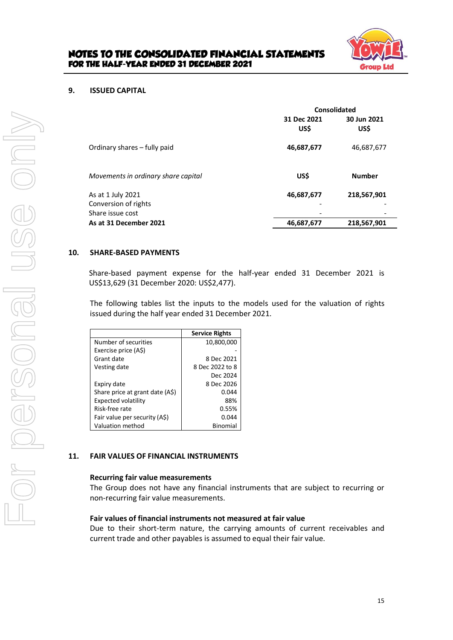

#### **9. ISSUED CAPITAL**

|                                          | Consolidated        |                     |
|------------------------------------------|---------------------|---------------------|
|                                          | 31 Dec 2021<br>US\$ | 30 Jun 2021<br>US\$ |
| Ordinary shares - fully paid             | 46,687,677          | 46,687,677          |
| Movements in ordinary share capital      | US\$                | <b>Number</b>       |
| As at 1 July 2021                        | 46,687,677          | 218,567,901         |
| Conversion of rights<br>Share issue cost | -                   |                     |
|                                          |                     |                     |
| As at 31 December 2021                   | 46,687,677          | 218,567,901         |

#### **10. SHARE-BASED PAYMENTS**

Share-based payment expense for the half-year ended 31 December 2021 is US\$13,629 (31 December 2020: US\$2,477).

The following tables list the inputs to the models used for the valuation of rights issued during the half year ended 31 December 2021.

|                                 | <b>Service Rights</b> |
|---------------------------------|-----------------------|
| Number of securities            | 10,800,000            |
| Exercise price (A\$)            |                       |
| Grant date                      | 8 Dec 2021            |
| Vesting date                    | 8 Dec 2022 to 8       |
|                                 | Dec 2024              |
| Expiry date                     | 8 Dec 2026            |
| Share price at grant date (A\$) | 0.044                 |
| <b>Expected volatility</b>      | 88%                   |
| Risk-free rate                  | 0.55%                 |
| Fair value per security (A\$)   | 0.044                 |
| Valuation method                | Binomial              |

#### **11. FAIR VALUES OF FINANCIAL INSTRUMENTS**

#### **Recurring fair value measurements**

The Group does not have any financial instruments that are subject to recurring or non-recurring fair value measurements.

#### **Fair values of financial instruments not measured at fair value**

Due to their short-term nature, the carrying amounts of current receivables and current trade and other payables is assumed to equal their fair value.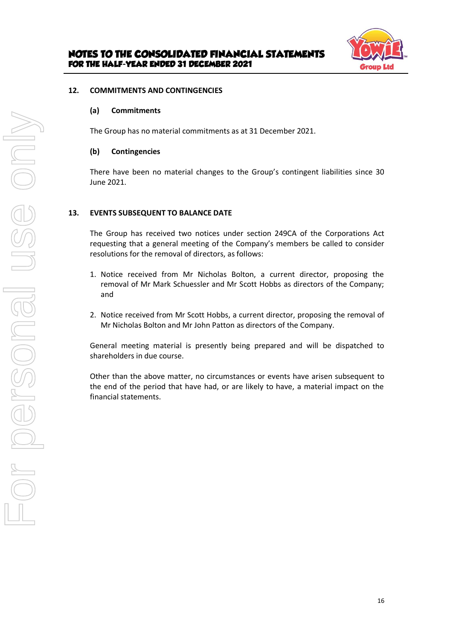

#### **12. COMMITMENTS AND CONTINGENCIES**

#### **(a) Commitments**

The Group has no material commitments as at 31 December 2021.

#### **(b) Contingencies**

There have been no material changes to the Group's contingent liabilities since 30 June 2021.

#### **13. EVENTS SUBSEQUENT TO BALANCE DATE**

The Group has received two notices under section 249CA of the Corporations Act requesting that a general meeting of the Company's members be called to consider resolutions for the removal of directors, as follows:

- 1. Notice received from Mr Nicholas Bolton, a current director, proposing the removal of Mr Mark Schuessler and Mr Scott Hobbs as directors of the Company; and
- 2. Notice received from Mr Scott Hobbs, a current director, proposing the removal of Mr Nicholas Bolton and Mr John Patton as directors of the Company.

General meeting material is presently being prepared and will be dispatched to shareholders in due course.

Other than the above matter, no circumstances or events have arisen subsequent to the end of the period that have had, or are likely to have, a material impact on the financial statements.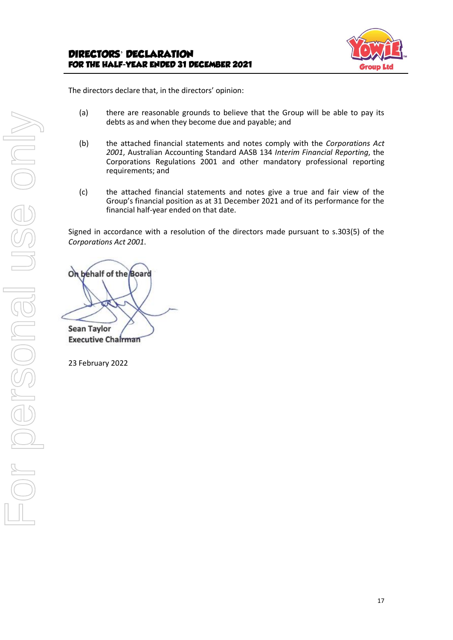

The directors declare that, in the directors' opinion:

- (a) there are reasonable grounds to believe that the Group will be able to pay its debts as and when they become due and payable; and
- (b) the attached financial statements and notes comply with the *Corporations Act 2001*, Australian Accounting Standard AASB 134 *Interim Financial Reporting*, the Corporations Regulations 2001 and other mandatory professional reporting requirements; and
- (c) the attached financial statements and notes give a true and fair view of the Group's financial position as at 31 December 2021 and of its performance for the financial half-year ended on that date.

Signed in accordance with a resolution of the directors made pursuant to s.303(5) of the *Corporations Act 2001*.

On behalf of the Board **Sean Taylor** 

**Executive Chairman** 

23 February 2022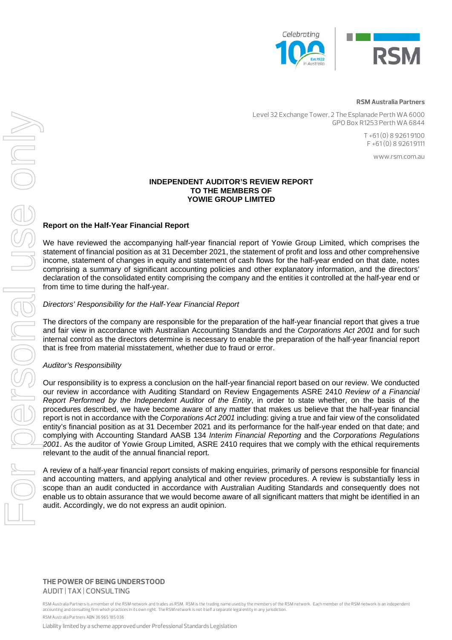

#### **RSM Australia Partners**

Level 32 Exchange Tower, 2 The Esplanade Perth WA 6000 GPO Box R1253 Perth WA 6844

> T +61 (0) 8 9261 9100 F +61 (0) 8 9261 9111

> > www.rsm.com.au

#### **INDEPENDENT AUDITOR'S REVIEW REPORT TO THE MEMBERS OF YOWIE GROUP LIMITED**

#### **Report on the Half-Year Financial Report**

We have reviewed the accompanying half-year financial report of Yowie Group Limited, which comprises the statement of financial position as at 31 December 2021, the statement of profit and loss and other comprehensive income, statement of changes in equity and statement of cash flows for the half-year ended on that date, notes comprising a summary of significant accounting policies and other explanatory information, and the directors' declaration of the consolidated entity comprising the company and the entities it controlled at the half-year end or from time to time during the half-year.

#### *Directors' Responsibility for the Half-Year Financial Report*

The directors of the company are responsible for the preparation of the half-year financial report that gives a true and fair view in accordance with Australian Accounting Standards and the *Corporations Act 2001* and for such internal control as the directors determine is necessary to enable the preparation of the half-year financial report that is free from material misstatement, whether due to fraud or error.

#### *Auditor's Responsibility*

Our responsibility is to express a conclusion on the half-year financial report based on our review. We conducted our review in accordance with Auditing Standard on Review Engagements ASRE 2410 *Review of a Financial Report Performed by the Independent Auditor of the Entity*, in order to state whether, on the basis of the procedures described, we have become aware of any matter that makes us believe that the half-year financial report is not in accordance with the *Corporations Act 2001* including: giving a true and fair view of the consolidated entity's financial position as at 31 December 2021 and its performance for the half-year ended on that date; and complying with Accounting Standard AASB 134 *Interim Financial Reporting* and the *Corporations Regulations 2001*. As the auditor of Yowie Group Limited, ASRE 2410 requires that we comply with the ethical requirements relevant to the audit of the annual financial report.

A review of a half-year financial report consists of making enquiries, primarily of persons responsible for financial and accounting matters, and applying analytical and other review procedures. A review is substantially less in scope than an audit conducted in accordance with Australian Auditing Standards and consequently does not enable us to obtain assurance that we would become aware of all significant matters that might be identified in an

#### **THE POWER OF BEING UNDERSTOOD** AUDIT | TAX | CONSULTING

RSM Australia Partners is a member of the RSM network and trades as RSM. RSM is the trading name used by the members of the RSM network. Each member of the RSM network is an independent accounting and consulting firm which practices in its own right. The RSM network is not itself a separate legal entity in any jurisdiction. RSM Australia Partners ABN 36 965 185 036

Liability limited by a scheme approved under Professional Standards Legislation